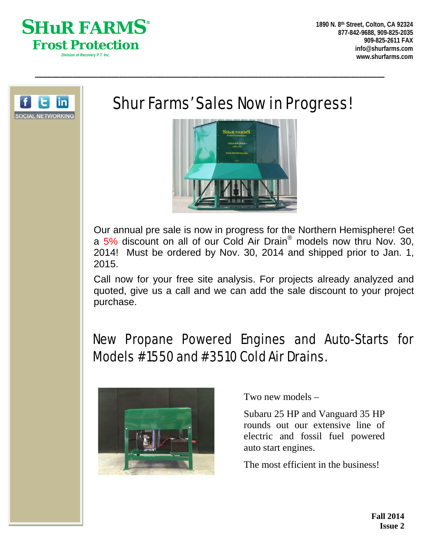



# Shur Farms' Sales Now in Progress!

\_\_\_\_\_\_\_\_\_\_\_\_\_\_\_\_\_\_\_\_\_\_\_\_\_\_\_\_\_\_\_\_\_\_\_\_\_\_\_\_\_\_\_\_\_\_\_\_\_\_\_\_\_\_\_\_\_\_\_\_\_\_\_\_\_\_\_\_\_\_\_\_\_\_\_\_\_\_\_\_\_\_\_



Our annual pre sale is now in progress for the Northern Hemisphere! Get a 5% discount on all of our Cold Air Drain® models now thru Nov. 30, 2014! Must be ordered by Nov. 30, 2014 and shipped prior to Jan. 1, 2015.

Call now for your free site analysis. For projects already analyzed and quoted, give us a call and we can add the sale discount to your project purchase.

## New Propane Powered Engines and Auto-Starts for Models #1550 and #3510 Cold Air Drains.



Two new models –

Subaru 25 HP and Vanguard 35 HP rounds out our extensive line of electric and fossil fuel powered auto start engines.

The most efficient in the business!